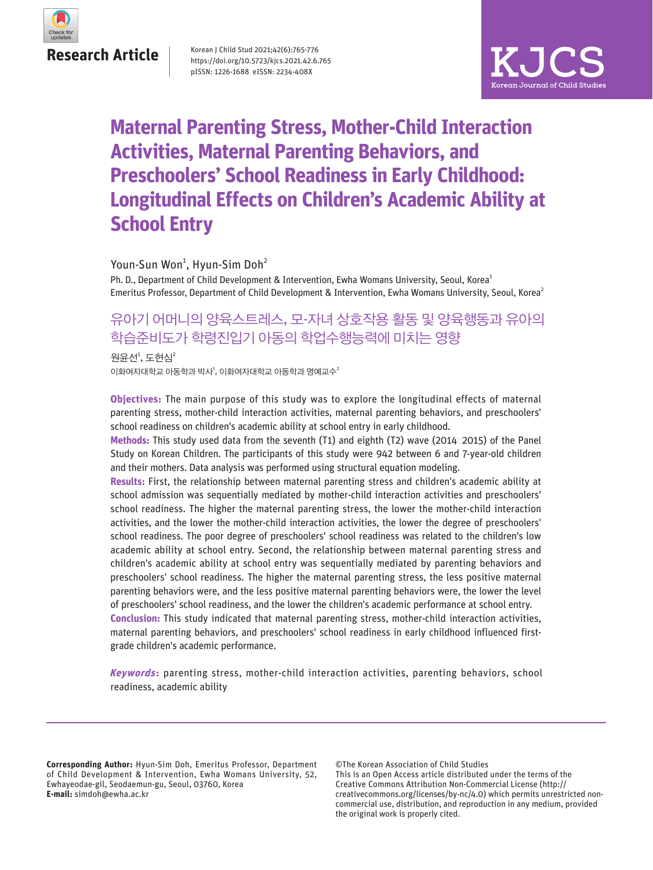

**Research Article**

Korean J Child Stud 2021;42(6):765-776 https://doi.org/10.5723/kjcs.2021.42.6.765 pISSN: 1226-1688 eISSN: 2234-408X



# **Maternal Parenting Stress, Mother-Child Interaction Activities, Maternal Parenting Behaviors, and Preschoolers' School Readiness in Early Childhood: Longitudinal Effects on Children's Academic Ability at School Entry**

Youn-Sun Won<sup>1</sup>, Hyun-Sim Doh<sup>2</sup>

Ph. D., Department of Child Development & Intervention, Ewha Womans University, Seoul, Korea<sup>1</sup> Emeritus Professor, Department of Child Development & Intervention, Ewha Womans University, Seoul, Korea<sup>2</sup>

## 유아기 어머니의 양육스트레스, 모-자녀 상호작용 활동 및 양육행동과 유아의 학습준비도가 학령진입기 아동의 학업수행능력에 미치는 영향

이화여자대학교 아동학과 박사 $^1$ , 이화여자대학교 아동학과 명예교수 $^2$ 원윤선 $^1$ , 도현심 $^2$ 

**Objectives:** The main purpose of this study was to explore the longitudinal effects of maternal parenting stress, mother-child interaction activities, maternal parenting behaviors, and preschoolers' school readiness on children's academic ability at school entry in early childhood.

**Methods:** This study used data from the seventh (T1) and eighth (T2) wave (2014ㅡ2015) of the Panel Study on Korean Children. The participants of this study were 942 between 6 and 7-year-old children and their mothers. Data analysis was performed using structural equation modeling.

**Results:** First, the relationship between maternal parenting stress and children's academic ability at school admission was sequentially mediated by mother-child interaction activities and preschoolers' school readiness. The higher the maternal parenting stress, the lower the mother-child interaction activities, and the lower the mother-child interaction activities, the lower the degree of preschoolers' school readiness. The poor degree of preschoolers' school readiness was related to the children's low academic ability at school entry. Second, the relationship between maternal parenting stress and children's academic ability at school entry was sequentially mediated by parenting behaviors and preschoolers' school readiness. The higher the maternal parenting stress, the less positive maternal parenting behaviors were, and the less positive maternal parenting behaviors were, the lower the level of preschoolers' school readiness, and the lower the children's academic performance at school entry. **Conclusion:** This study indicated that maternal parenting stress, mother-child interaction activities, maternal parenting behaviors, and preschoolers' school readiness in early childhood influenced firstgrade children's academic performance.

Keywords: parenting stress, mother-child interaction activities, parenting behaviors, school readiness, academic ability

**Corresponding Author:** Hyun-Sim Doh, Emeritus Professor, Department of Child Development & Intervention, Ewha Womans University, 52, Ewhayeodae-gil, Seodaemun-gu, Seoul, 03760, Korea **E-mail:** simdoh@ewha.ac.kr

©The Korean Association of Child Studies This is an Open Access article distributed under the terms of the Creative Commons Attribution Non-Commercial License (http:// creativecommons.org/licenses/by-nc/4.0) which permits unrestricted noncommercial use, distribution, and reproduction in any medium, provided the original work is properly cited.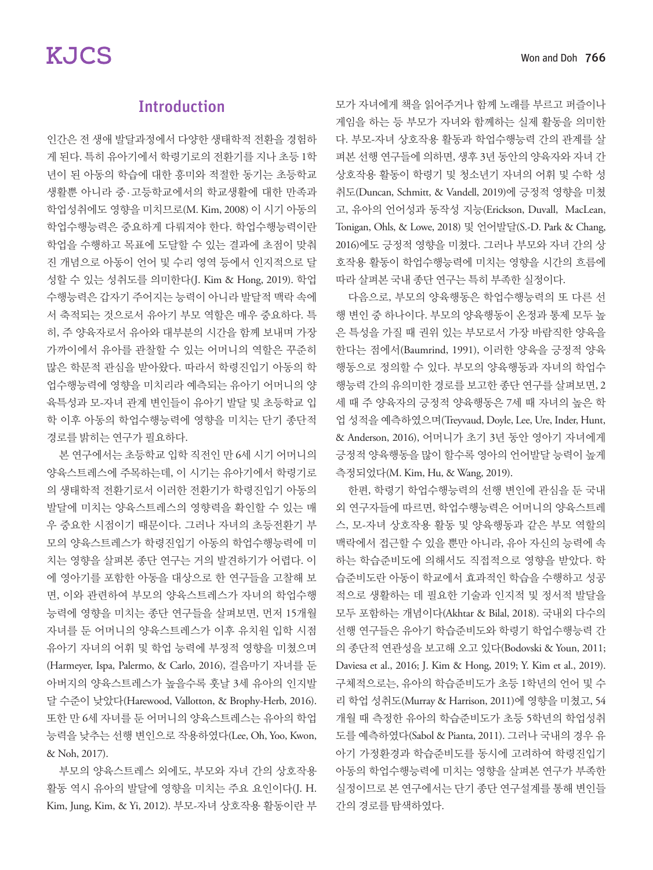## **Introduction**

인간은 전 생애 발달과정에서 다양한 생태학적 전환을 경험하 게 된다. 특히 유아기에서 학령기로의 전환기를 지나 초등 1학 년이 된 아동의 학습에 대한 흥미와 적절한 동기는 초등학교 생활뿐 아니라 중 · 고등학교에서의 학교생활에 대한 만족과 학업성취에도 영향을 미치므로(M. Kim, 2008) 이 시기 아동의 학업수행능력은 중요하게 다뤄져야 한다. 학업수행능력이란 학업을 수행하고 목표에 도달할 수 있는 결과에 초점이 맞춰 진 개념으로 아동이 언어 및 수리 영역 등에서 인지적으로 달 성할 수 있는 성취도를 의미한다(J. Kim & Hong, 2019). 학업 수행능력은 갑자기 주어지는 능력이 아니라 발달적 맥락 속에 서 축적되는 것으로서 유아기 부모 역할은 매우 중요하다. 특 히, 주 양육자로서 유아와 대부분의 시간을 함께 보내며 가장 가까이에서 유아를 관찰할 수 있는 어머니의 역할은 꾸준히 많은 학문적 관심을 받아왔다. 따라서 학령진입기 아동의 학 업수행능력에 영향을 미치리라 예측되는 유아기 어머니의 양 육특성과 모-자녀 관계 변인들이 유아기 발달 및 초등학교 입 학 이후 아동의 학업수행능력에 영향을 미치는 단기 종단적 경로를 밝히는 연구가 필요하다.

본 연구에서는 초등학교 입학 직전인 만 6세 시기 어머니의 양육스트레스에 주목하는데, 이 시기는 유아기에서 학령기로 의 생태학적 전환기로서 이러한 전환기가 학령진입기 아동의 발달에 미치는 양육스트레스의 영향력을 확인할 수 있는 매 우 중요한 시점이기 때문이다. 그러나 자녀의 초등전환기 부 모의 양육스트레스가 학령진입기 아동의 학업수행능력에 미 치는 영향을 살펴본 종단 연구는 거의 발견하기가 어렵다. 이 에 영아기를 포함한 아동을 대상으로 한 연구들을 고찰해 보 면, 이와 관련하여 부모의 양육스트레스가 자녀의 학업수행 능력에 영향을 미치는 종단 연구들을 살펴보면, 먼저 15개월 자녀를 둔 어머니의 양육스트레스가 이후 유치원 입학 시점 유아기 자녀의 어휘 및 학업 능력에 부정적 영향을 미쳤으며 (Harmeyer, Ispa, Palermo, & Carlo, 2016), 걸음마기 자녀를 둔 아버지의 양육스트레스가 높을수록 훗날 3세 유아의 인지발 달 수준이 낮았다(Harewood, Vallotton, & Brophy-Herb, 2016). 또한 만 6세 자녀를 둔 어머니의 양육스트레스는 유아의 학업 능력을 낮추는 선행 변인으로 작용하였다(Lee, Oh, Yoo, Kwon, & Noh, 2017).

부모의 양육스트레스 외에도, 부모와 자녀 간의 상호작용 활동 역시 유아의 발달에 영향을 미치는 주요 요인이다(J. H. Kim, Jung, Kim, & Yi, 2012). 부모-자녀 상호작용 활동이란 부 모가 자녀에게 책을 읽어주거나 함께 노래를 부르고 퍼즐이나 게임을 하는 등 부모가 자녀와 함께하는 실제 활동을 의미한 다. 부모-자녀 상호작용 활동과 학업수행능력 간의 관계를 살 펴본 선행 연구들에 의하면, 생후 3년 동안의 양육자와 자녀 간 상호작용 활동이 학령기 및 청소년기 자녀의 어휘 및 수학 성 취도(Duncan, Schmitt, & Vandell, 2019)에 긍정적 영향을 미쳤 고, 유아의 언어성과 동작성 지능(Erickson, Duvall, MacLean, Tonigan, Ohls, & Lowe, 2018) 및 언어발달(S.-D. Park & Chang, 2016)에도 긍정적 영향을 미쳤다. 그러나 부모와 자녀 간의 상 호작용 활동이 학업수행능력에 미치는 영향을 시간의 흐름에 따라 살펴본 국내 종단 연구는 특히 부족한 실정이다.

다음으로, 부모의 양육행동은 학업수행능력의 또 다른 선 행 변인 중 하나이다. 부모의 양육행동이 온정과 통제 모두 높 은 특성을 가질 때 권위 있는 부모로서 가장 바람직한 양육을 한다는 점에서(Baumrind, 1991), 이러한 양육을 긍정적 양육 행동으로 정의할 수 있다. 부모의 양육행동과 자녀의 학업수 행능력 간의 유의미한 경로를 보고한 종단 연구를 살펴보면, 2 세 때 주 양육자의 긍정적 양육행동은 7세 때 자녀의 높은 학 업 성적을 예측하였으며(Treyvaud, Doyle, Lee, Ure, Inder, Hunt, & Anderson, 2016), 어머니가 초기 3년 동안 영아기 자녀에게 긍정적 양육행동을 많이 할수록 영아의 언어발달 능력이 높게 측정되었다(M. Kim, Hu, & Wang, 2019).

한편, 학령기 학업수행능력의 선행 변인에 관심을 둔 국내 외 연구자들에 따르면, 학업수행능력은 어머니의 양육스트레 스, 모-자녀 상호작용 활동 및 양육행동과 같은 부모 역할의 맥락에서 접근할 수 있을 뿐만 아니라, 유아 자신의 능력에 속 하는 학습준비도에 의해서도 직접적으로 영향을 받았다. 학 습준비도란 아동이 학교에서 효과적인 학습을 수행하고 성공 적으로 생활하는 데 필요한 기술과 인지적 및 정서적 발달을 모두 포함하는 개념이다(Akhtar & Bilal, 2018). 국내외 다수의 선행 연구들은 유아기 학습준비도와 학령기 학업수행능력 간 의 종단적 연관성을 보고해 오고 있다(Bodovski & Youn, 2011; Daviesa et al., 2016; J. Kim & Hong, 2019; Y. Kim et al., 2019). 구체적으로는, 유아의 학습준비도가 초등 1학년의 언어 및 수 리 학업 성취도(Murray & Harrison, 2011)에 영향을 미쳤고, 54 개월 때 측정한 유아의 학습준비도가 초등 5학년의 학업성취 도를 예측하였다(Sabol & Pianta, 2011). 그러나 국내의 경우 유 아기 가정환경과 학습준비도를 동시에 고려하여 학령진입기 아동의 학업수행능력에 미치는 영향을 살펴본 연구가 부족한 실정이므로 본 연구에서는 단기 종단 연구설계를 통해 변인들 간의 경로를 탐색하였다.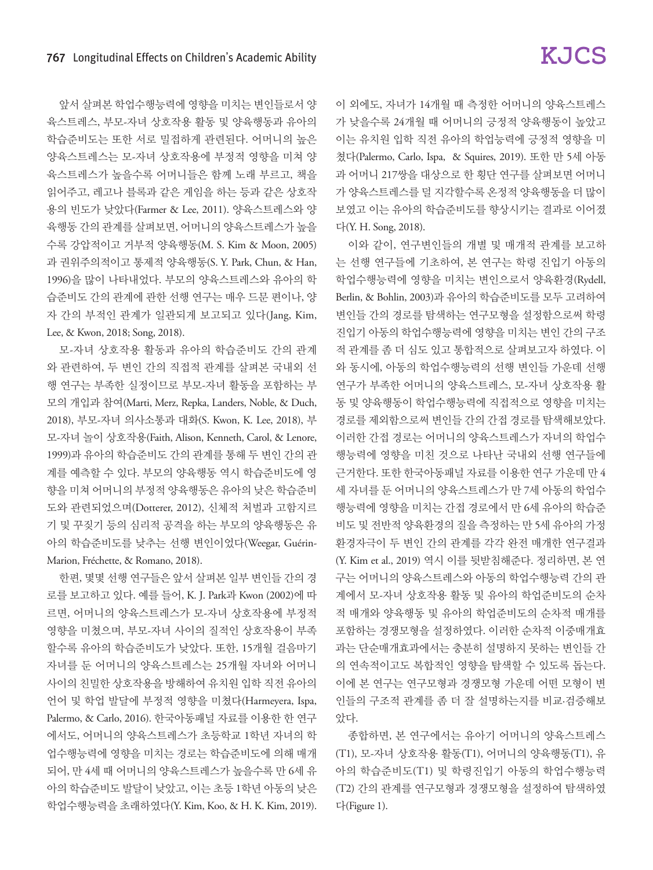앞서 살펴본 학업수행능력에 영향을 미치는 변인들로서 양 육스트레스, 부모-자녀 상호작용 활동 및 양육행동과 유아의 학습준비도는 또한 서로 밀접하게 관련된다. 어머니의 높은 양육스트레스는 모-자녀 상호작용에 부정적 영향을 미쳐 양 육스트레스가 높을수록 어머니들은 함께 노래 부르고, 책을 읽어주고, 레고나 블록과 같은 게임을 하는 등과 같은 상호작 용의 빈도가 낮았다(Farmer & Lee, 2011). 양육스트레스와 양 육행동 간의 관계를 살펴보면, 어머니의 양육스트레스가 높을 수록 강압적이고 거부적 양육행동(M. S. Kim & Moon, 2005) 과 권위주의적이고 통제적 양육행동(S. Y. Park, Chun, & Han, 1996)을 많이 나타내었다. 부모의 양육스트레스와 유아의 학 습준비도 간의 관계에 관한 선행 연구는 매우 드문 편이나, 양 자 간의 부적인 관계가 일관되게 보고되고 있다(Jang, Kim, Lee, & Kwon, 2018; Song, 2018).

모-자녀 상호작용 활동과 유아의 학습준비도 간의 관계 와 관련하여, 두 변인 간의 직접적 관계를 살펴본 국내외 선 행 연구는 부족한 실정이므로 부모-자녀 활동을 포함하는 부 모의 개입과 참여(Marti, Merz, Repka, Landers, Noble, & Duch, 2018), 부모-자녀 의사소통과 대화(S. Kwon, K. Lee, 2018), 부 모-자녀 놀이 상호작용(Faith, Alison, Kenneth, Carol, & Lenore, 1999)과 유아의 학습준비도 간의 관계를 통해 두 변인 간의 관 계를 예측할 수 있다. 부모의 양육행동 역시 학습준비도에 영 향을 미쳐 어머니의 부정적 양육행동은 유아의 낮은 학습준비 도와 관련되었으며(Dotterer, 2012), 신체적 처벌과 고함지르 기 및 꾸짖기 등의 심리적 공격을 하는 부모의 양육행동은 유 아의 학습준비도를 낮추는 선행 변인이었다(Weegar, Guérin-Marion, Fréchette, & Romano, 2018).

한편, 몇몇 선행 연구들은 앞서 살펴본 일부 변인들 간의 경 로를 보고하고 있다. 예를 들어, K. J. Park과 Kwon (2002)에 따 르면, 어머니의 양육스트레스가 모-자녀 상호작용에 부정적 영향을 미쳤으며, 부모-자녀 사이의 질적인 상호작용이 부족 할수록 유아의 학습준비도가 낮았다. 또한, 15개월 걸음마기 자녀를 둔 어머니의 양육스트레스는 25개월 자녀와 어머니 사이의 친밀한 상호작용을 방해하여 유치원 입학 직전 유아의 언어 및 학업 발달에 부정적 영향을 미쳤다(Harmeyera, Ispa, Palermo, & Carlo, 2016). 한국아동패널 자료를 이용한 한 연구 에서도, 어머니의 양육스트레스가 초등학교 1학년 자녀의 학 업수행능력에 영향을 미치는 경로는 학습준비도에 의해 매개 되어, 만 4세 때 어머니의 양육스트레스가 높을수록 만 6세 유 아의 학습준비도 발달이 낮았고, 이는 초등 1학년 아동의 낮은 학업수행능력을 초래하였다(Y. Kim, Koo, & H. K. Kim, 2019).

이 외에도, 자녀가 14개월 때 측정한 어머니의 양육스트레스 가 낮을수록 24개월 때 어머니의 긍정적 양육행동이 높았고 이는 유치원 입학 직전 유아의 학업능력에 긍정적 영향을 미 쳤다(Palermo, Carlo, Ispa, & Squires, 2019). 또한 만 5세 아동 과 어머니 217쌍을 대상으로 한 횡단 연구를 살펴보면 어머니 가 양육스트레스를 덜 지각할수록 온정적 양육행동을 더 많이 보였고 이는 유아의 학습준비도를 향상시키는 결과로 이어졌 다(Y. H. Song, 2018).

이와 같이, 연구변인들의 개별 및 매개적 관계를 보고하 는 선행 연구들에 기초하여, 본 연구는 학령 진입기 아동의 학업수행능력에 영향을 미치는 변인으로서 양육환경(Rydell, Berlin, & Bohlin, 2003)과 유아의 학습준비도를 모두 고려하여 변인들 간의 경로를 탐색하는 연구모형을 설정함으로써 학령 진입기 아동의 학업수행능력에 영향을 미치는 변인 간의 구조 적 관계를 좀 더 심도 있고 통합적으로 살펴보고자 하였다. 이 와 동시에, 아동의 학업수행능력의 선행 변인들 가운데 선행 연구가 부족한 어머니의 양육스트레스, 모-자녀 상호작용 활 동 및 양육행동이 학업수행능력에 직접적으로 영향을 미치는 경로를 제외함으로써 변인들 간의 간접 경로를 탐색해보았다. 이러한 간접 경로는 어머니의 양육스트레스가 자녀의 학업수 행능력에 영향을 미친 것으로 나타난 국내외 선행 연구들에 근거한다. 또한 한국아동패널 자료를 이용한 연구 가운데 만 4 세 자녀를 둔 어머니의 양육스트레스가 만 7세 아동의 학업수 행능력에 영향을 미치는 간접 경로에서 만 6세 유아의 학습준 비도 및 전반적 양육환경의 질을 측정하는 만 5세 유아의 가정 환경자극이 두 변인 간의 관계를 각각 완전 매개한 연구결과 (Y. Kim et al., 2019) 역시 이를 뒷받침해준다. 정리하면, 본 연 구는 어머니의 양육스트레스와 아동의 학업수행능력 간의 관 계에서 모-자녀 상호작용 활동 및 유아의 학업준비도의 순차 적 매개와 양육행동 및 유아의 학업준비도의 순차적 매개를 포함하는 경쟁모형을 설정하였다. 이러한 순차적 이중매개효 과는 단순매개효과에서는 충분히 설명하지 못하는 변인들 간 의 연속적이고도 복합적인 영향을 탐색할 수 있도록 돕는다. 이에 본 연구는 연구모형과 경쟁모형 가운데 어떤 모형이 변 인들의 구조적 관계를 좀 더 잘 설명하는지를 비교·검증해보 았다.

종합하면, 본 연구에서는 유아기 어머니의 양육스트레스 (T1), 모-자녀 상호작용 활동(T1), 어머니의 양육행동(T1), 유 아의 학습준비도(T1) 및 학령진입기 아동의 학업수행능력 (T2) 간의 관계를 연구모형과 경쟁모형을 설정하여 탐색하였 다(Figure 1).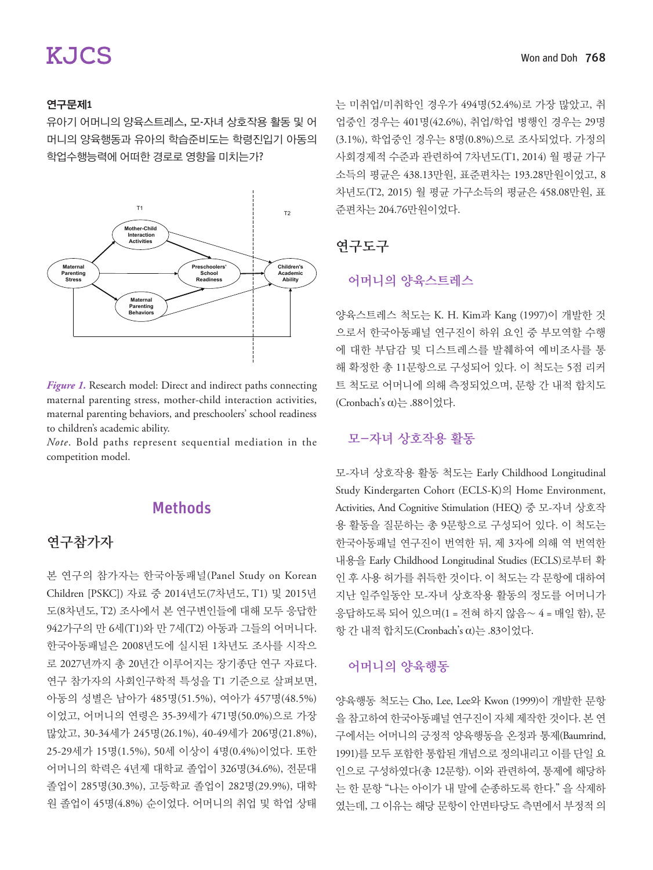#### 연구문제1

유아기 어머니의 양육스트레스, 모-자녀 상호작용 활동 및 어 머니의 양육행동과 유아의 학습준비도는 학령진입기 아동의 학업수행능력에 어떠한 경로로 영향을 미치는가?



*Figure 1.* Research model: Direct and indirect paths connecting maternal parenting stress, mother-child interaction activities, maternal parenting behaviors, and preschoolers' school readiness to children's academic ability.

*Note*. Bold paths represent sequential mediation in the competition model.

### **Methods**

### 연구참가자

본 연구의 참가자는 한국아동패널(Panel Study on Korean Children [PSKC]) 자료 중 2014년도(7차년도, T1) 및 2015년 도(8차년도, T2) 조사에서 본 연구변인들에 대해 모두 응답한 942가구의 만 6세(T1)와 만 7세(T2) 아동과 그들의 어머니다. 한국아동패널은 2008년도에 실시된 1차년도 조사를 시작으 로 2027년까지 총 20년간 이루어지는 장기종단 연구 자료다. 연구 참가자의 사회인구학적 특성을 T1 기준으로 살펴보면, 아동의 성별은 남아가 485명(51.5%), 여아가 457명(48.5%) 이었고, 어머니의 연령은 35-39세가 471명(50.0%)으로 가장 많았고, 30-34세가 245명(26.1%), 40-49세가 206명(21.8%), 25-29세가 15명(1.5%), 50세 이상이 4명(0.4%)이었다. 또한 어머니의 학력은 4년제 대학교 졸업이 326명(34.6%), 전문대 졸업이 285명(30.3%), 고등학교 졸업이 282명(29.9%), 대학 원 졸업이 45명(4.8%) 순이었다. 어머니의 취업 및 학업 상태 는 미취업/미취학인 경우가 494명(52.4%)로 가장 많았고, 취 업중인 경우는 401명(42.6%), 취업/학업 병행인 경우는 29명 (3.1%), 학업중인 경우는 8명(0.8%)으로 조사되었다. 가정의 사회경제적 수준과 관련하여 7차년도(T1, 2014) 월 평균 가구 소득의 평균은 438.13만원, 표준편차는 193.28만원이었고, 8 차년도(T2, 2015) 월 평균 가구소득의 평균은 458.08만원, 표 준편차는 204.76만원이었다.

#### 연구도구

#### 어머니의 양육스트레스

양육스트레스 척도는 K. H. Kim과 Kang (1997)이 개발한 것 으로서 한국아동패널 연구진이 하위 요인 중 부모역할 수행 에 대한 부담감 및 디스트레스를 발췌하여 예비조사를 통 해 확정한 총 11문항으로 구성되어 있다. 이 척도는 5점 리커 트 척도로 어머니에 의해 측정되었으며, 문항 간 내적 합치도 (Cronbach's α)는 .88이었다.

### 모-자녀 상호작용 활동

모-자녀 상호작용 활동 척도는 Early Childhood Longitudinal Study Kindergarten Cohort (ECLS-K)의 Home Environment, Activities, And Cognitive Stimulation (HEQ) 중 모-자녀 상호작 용 활동을 질문하는 총 9문항으로 구성되어 있다. 이 척도는 한국아동패널 연구진이 번역한 뒤, 제 3자에 의해 역 번역한 내용을 Early Childhood Longitudinal Studies (ECLS)로부터 확 인 후 사용 허가를 취득한 것이다. 이 척도는 각 문항에 대하여 지난 일주일동안 모-자녀 상호작용 활동의 정도를 어머니가 응답하도록 되어 있으며(1 = 전혀 하지 않음∼ 4 = 매일 함), 문 항 간 내적 합치도(Cronbach's α)는 .83이었다.

#### 어머니의 양육행동

양육행동 척도는 Cho, Lee, Lee와 Kwon (1999)이 개발한 문항 을 참고하여 한국아동패널 연구진이 자체 제작한 것이다. 본 연 구에서는 어머니의 긍정적 양육행동을 온정과 통제(Baumrind, 1991)를 모두 포함한 통합된 개념으로 정의내리고 이를 단일 요 인으로 구성하였다(총 12문항). 이와 관련하여, 통제에 해당하 는 한 문항 "나는 아이가 내 말에 순종하도록 한다." 을 삭제하 였는데, 그 이유는 해당 문항이 안면타당도 측면에서 부정적 의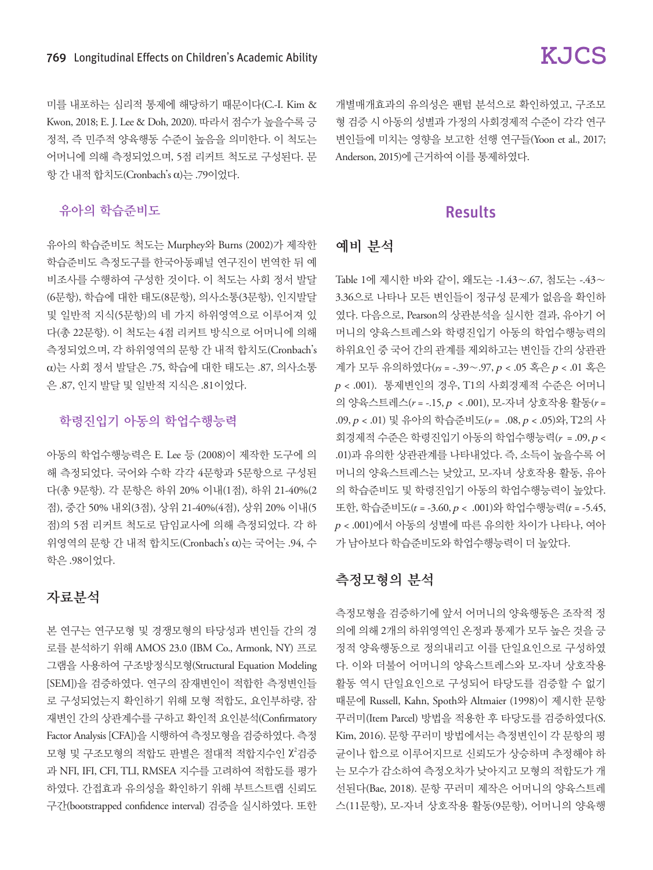미를 내포하는 심리적 통제에 해당하기 때문이다(C.-I. Kim & Kwon, 2018; E. J. Lee & Doh, 2020). 따라서 점수가 높을수록 긍 정적, 즉 민주적 양육행동 수준이 높음을 의미한다. 이 척도는 어머니에 의해 측정되었으며, 5점 리커트 척도로 구성된다. 문 항 간 내적 합치도(Cronbach's α)는 .79이었다.

#### 유아의 학습준비도

유아의 학습준비도 척도는 Murphey와 Burns (2002)가 제작한 학습준비도 측정도구를 한국아동패널 연구진이 번역한 뒤 예 비조사를 수행하여 구성한 것이다. 이 척도는 사회 정서 발달 (6문항), 학습에 대한 태도(8문항), 의사소통(3문항), 인지발달 및 일반적 지식(5문항)의 네 가지 하위영역으로 이루어져 있 다(총 22문항). 이 척도는 4점 리커트 방식으로 어머니에 의해 측정되었으며, 각 하위영역의 문항 간 내적 합치도(Cronbach's α)는 사회 정서 발달은 .75, 학습에 대한 태도는 .87, 의사소통 은 .87, 인지 발달 및 일반적 지식은 .81이었다.

#### 학령진입기 아동의 학업수행능력

아동의 학업수행능력은 E. Lee 등 (2008)이 제작한 도구에 의 해 측정되었다. 국어와 수학 각각 4문항과 5문항으로 구성된 다(총 9문항). 각 문항은 하위 20% 이내(1점), 하위 21-40%(2 점), 중간 50% 내외(3점), 상위 21-40%(4점), 상위 20% 이내(5 점)의 5점 리커트 척도로 담임교사에 의해 측정되었다. 각 하 위영역의 문항 간 내적 합치도(Cronbach's α)는 국어는 .94, 수 학은 .98이었다.

#### 자료분석

본 연구는 연구모형 및 경쟁모형의 타당성과 변인들 간의 경 로를 분석하기 위해 AMOS 23.0 (IBM Co., Armonk, NY) 프로 그램을 사용하여 구조방정식모형(Structural Equation Modeling [SEM])을 검증하였다. 연구의 잠재변인이 적합한 측정변인들 로 구성되었는지 확인하기 위해 모형 적합도, 요인부하량, 잠 재변인 간의 상관계수를 구하고 확인적 요인분석(Confirmatory Factor Analysis [CFA])을 시행하여 측정모형을 검증하였다. 측정 모형 및 구조모형의 적합도 판별은 절대적 적합지수인 X<sup>2</sup>검증 과 NFI, IFI, CFI, TLI, RMSEA 지수를 고려하여 적합도를 평가 하였다. 간접효과 유의성을 확인하기 위해 부트스트랩 신뢰도 구간(bootstrapped confidence interval) 검증을 실시하였다. 또한 개별매개효과의 유의성은 팬텀 분석으로 확인하였고, 구조모 형 검증 시 아동의 성별과 가정의 사회경제적 수준이 각각 연구 변인들에 미치는 영향을 보고한 선행 연구들(Yoon et al., 2017; Anderson, 2015)에 근거하여 이를 통제하였다.

### Results

#### 예비 분석

Table 1에 제시한 바와 같이, 왜도는 -1.43∼.67, 첨도는 -.43∼ 3.36으로 나타나 모든 변인들이 정규성 문제가 없음을 확인하 였다. 다음으로, Pearson의 상관분석을 실시한 결과, 유아기 어 머니의 양육스트레스와 학령진입기 아동의 학업수행능력의 하위요인 중 국어 간의 관계를 제외하고는 변인들 간의 상관관 계가 모두 유의하였다(*rs* = -.39∼.97, p < .05 혹은 <sup>p</sup> < .01 혹은 <sup>p</sup> < .001). 통제변인의 경우, T1의 사회경제적 수준은 어머니 의 양육스트레스(*r* = -.15, p < .001), 모-자녀 상호작용 활동(*r* = .09, p < .01) 및 유아의 학습준비도(*r* = .08, p < .05)와, T2의 사 회경제적 수준은 학령진입기 아동의 학업수행능력(*r* = .09, p < .01)과 유의한 상관관계를 나타내었다. 즉, 소득이 높을수록 어 머니의 양육스트레스는 낮았고, 모-자녀 상호작용 활동, 유아 의 학습준비도 및 학령진입기 아동의 학업수행능력이 높았다. 또한, 학습준비도(t = -3.60, p < .001)와 학업수행능력(t = -5.45,  $p < .001$ )에서 아동의 성별에 따른 유의한 차이가 나타나, 여아 가 남아보다 학습준비도와 학업수행능력이 더 높았다.

#### 측정모형의 분석

측정모형을 검증하기에 앞서 어머니의 양육행동은 조작적 정 의에 의해 2개의 하위영역인 온정과 통제가 모두 높은 것을 긍 정적 양육행동으로 정의내리고 이를 단일요인으로 구성하였 다. 이와 더불어 어머니의 양육스트레스와 모-자녀 상호작용 활동 역시 단일요인으로 구성되어 타당도를 검증할 수 없기 때문에 Russell, Kahn, Spoth와 Altmaier (1998)이 제시한 문항 꾸러미(Item Parcel) 방법을 적용한 후 타당도를 검증하였다(S. Kim, 2016). 문항 꾸러미 방법에서는 측정변인이 각 문항의 평 균이나 합으로 이루어지므로 신뢰도가 상승하며 추정해야 하 는 모수가 감소하여 측정오차가 낮아지고 모형의 적합도가 개 선된다(Bae, 2018). 문항 꾸러미 제작은 어머니의 양육스트레 스(11문항), 모-자녀 상호작용 활동(9문항), 어머니의 양육행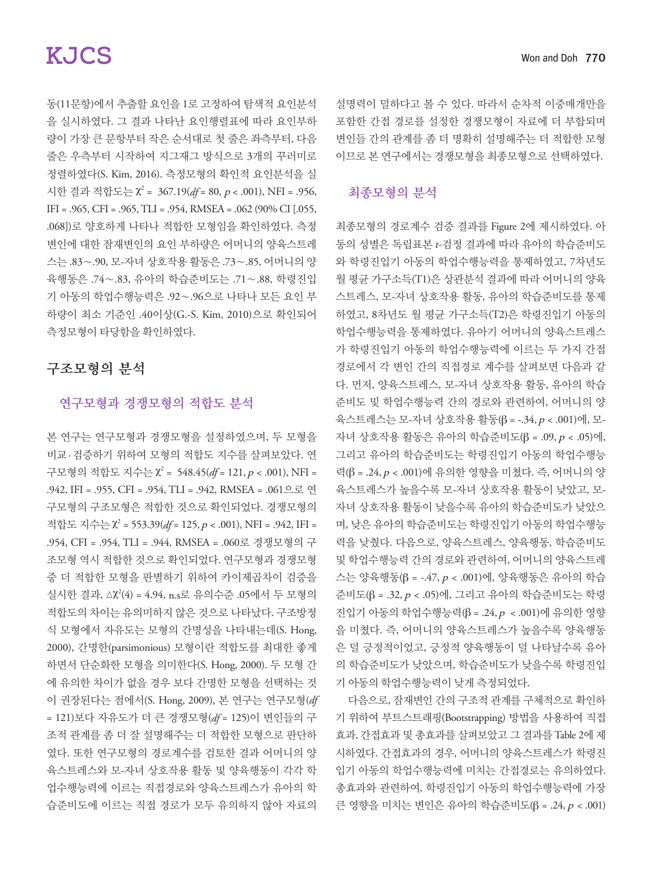# **KJCS**

동(11문항)에서 추출할 요인을 1로 고정하여 탐색적 요인분석 을 실시하였다. 그 결과 나타난 요인행렬표에 따라 요인부하 량이 가장 큰 문항부터 작은 순서대로 첫 줄은 좌측부터, 다음 줄은 우측부터 시작하여 지그재그 방식으로 3개의 꾸러미로 정렬하였다(S. Kim, 2016). 측정모형의 확인적 요인분석을 실 시한 결과 적합도는 χ<sup>2</sup> = 367.19(*df* = 80, p < .001), NFI = .956, IFI = .965, CFI = .965, TLI = .954, RMSEA = .062 (90% CI [.055, .068])로 양호하게 나타나 적합한 모형임을 확인하였다. 측정 변인에 대한 잠재변인의 요인 부하량은 어머니의 양육스트레 스는 .83∼.90, 모-자녀 상호작용 활동은 .73∼.85, 어머니의 양 육행동은 .74∼.83, 유아의 학습준비도는 .71∼.88, 학령진입 기 아동의 학업수행능력은 .92∼.96으로 나타나 모든 요인 부 하량이 최소 기준인 .40이상(G.-S. Kim, 2010)으로 확인되어 측정모형이 타당함을 확인하였다.

### 구조모형의 분석

#### 연구모형과 경쟁모형의 적합도 분석

본 연구는 연구모형과 경쟁모형을 설정하였으며, 두 모형을 비교 · 검증하기 위하여 모형의 적합도 지수를 살펴보았다. 연 구모형의 적합도 지수는 χ<sup>2</sup> = 548.45(*df* = 121, p < .001), NFI = .942, IFI = .955, CFI = .954, TLI = .942, RMSEA = .061으로 연 구모형의 구조모형은 적합한 것으로 확인되었다. 경쟁모형의 적합도 지수는 χ<sup>2</sup> = 553.39(*df* = 125, p < .001), NFI = .942, IFI = .954, CFI = .954, TLI = .944, RMSEA = .060로 경쟁모형의 구 조모형 역시 적합한 것으로 확인되었다. 연구모형과 경쟁모형 중 더 적합한 모형을 판별하기 위하여 카이제곱차이 검증을 실시한 결과, △X<sup>2</sup>(4) = 4.94, n.s로 유의수준 .05에서 두 모형의 적합도의 차이는 유의미하지 않은 것으로 나타났다. 구조방정 식 모형에서 자유도는 모형의 간명성을 나타내는데(S. Hong, 2000), 간명한(parsimonious) 모형이란 적합도를 최대한 좋게 하면서 단순화한 모형을 의미한다(S. Hong, 2000). 두 모형 간 에 유의한 차이가 없을 경우 보다 간명한 모형을 선택하는 것 이 권장된다는 점에서(S. Hong, 2009), 본 연구는 연구모형(*df* = 121)보다 자유도가 더 큰 경쟁모형(*df* = 125)이 변인들의 구 조적 관계를 좀 더 잘 설명해주는 더 적합한 모형으로 판단하 였다. 또한 연구모형의 경로계수를 검토한 결과 어머니의 양 육스트레스와 모-자녀 상호작용 활동 및 양육행동이 각각 학 업수행능력에 이르는 직접경로와 양육스트레스가 유아의 학 습준비도에 이르는 직접 경로가 모두 유의하지 않아 자료의

설명력이 덜하다고 볼 수 있다. 따라서 순차적 이중매개만을 포함한 간접 경로를 설정한 경쟁모형이 자료에 더 부합되며 변인들 간의 관계를 좀 더 명확히 설명해주는 더 적합한 모형 이므로 본 연구에서는 경쟁모형을 최종모형으로 선택하였다.

#### 최종모형의 분석

최종모형의 경로계수 검증 결과를 Figure 2에 제시하였다. 아 동의 성별은 독립표본 <sup>t</sup>-검정 결과에 따라 유아의 학습준비도 와 학령진입기 아동의 학업수행능력을 통제하였고, 7차년도 월 평균 가구소득(T1)은 상관분석 결과에 따라 어머니의 양육 스트레스, 모-자녀 상호작용 활동, 유아의 학습준비도를 통제 하였고, 8차년도 월 평균 가구소득(T2)은 학령진입기 아동의 학업수행능력을 통제하였다. 유아기 어머니의 양육스트레스 가 학령진입기 아동의 학업수행능력에 이르는 두 가지 간접 경로에서 각 변인 간의 직접경로 계수를 살펴보면 다음과 같 다. 먼저, 양육스트레스, 모-자녀 상호작용 활동, 유아의 학습 준비도 및 학업수행능력 간의 경로와 관련하여, 어머니의 양 육스트레스는 모-자녀 상호작용 활동(β = -.34, p < .001)에, 모-자녀 상호작용 활동은 유아의 학습준비도(β = .09, p < .05)에, 그리고 유아의 학습준비도는 학령진입기 아동의 학업수행능 력(β = .24, p < .001)에 유의한 영향을 미쳤다. 즉, 어머니의 양 육스트레스가 높을수록 모-자녀 상호작용 활동이 낮았고, 모-자녀 상호작용 활동이 낮을수록 유아의 학습준비도가 낮았으 며, 낮은 유아의 학습준비도는 학령진입기 아동의 학업수행능 력을 낮췄다. 다음으로, 양육스트레스, 양육행동, 학습준비도 및 학업수행능력 간의 경로와 관련하여, 어머니의 양육스트레 스는 양육행동(β = -.47, p < .001)에, 양육행동은 유아의 학습 준비도(β = .32, p < .05)에, 그리고 유아의 학습준비도는 학령 진입기 아동의 학업수행능력(β = .24, p < .001)에 유의한 영향 을 미쳤다. 즉, 어머니의 양육스트레스가 높을수록 양육행동 은 덜 긍정적이었고, 긍정적 양육행동이 덜 나타날수록 유아 의 학습준비도가 낮았으며, 학습준비도가 낮을수록 학령진입 기 아동의 학업수행능력이 낮게 측정되었다.

다음으로, 잠재변인 간의 구조적 관계를 구체적으로 확인하 기 위하여 부트스트래핑(Bootstrapping) 방법을 사용하여 직접 효과, 간접효과 및 총효과를 살펴보았고 그 결과를 Table 2에 제 시하였다. 간접효과의 경우, 어머니의 양육스트레스가 학령진 입기 아동의 학업수행능력에 미치는 간접경로는 유의하였다. 총효과와 관련하여, 학령진입기 아동의 학업수행능력에 가장 큰 영향을 미치는 변인은 유아의 학습준비도(β = .24, p < .001)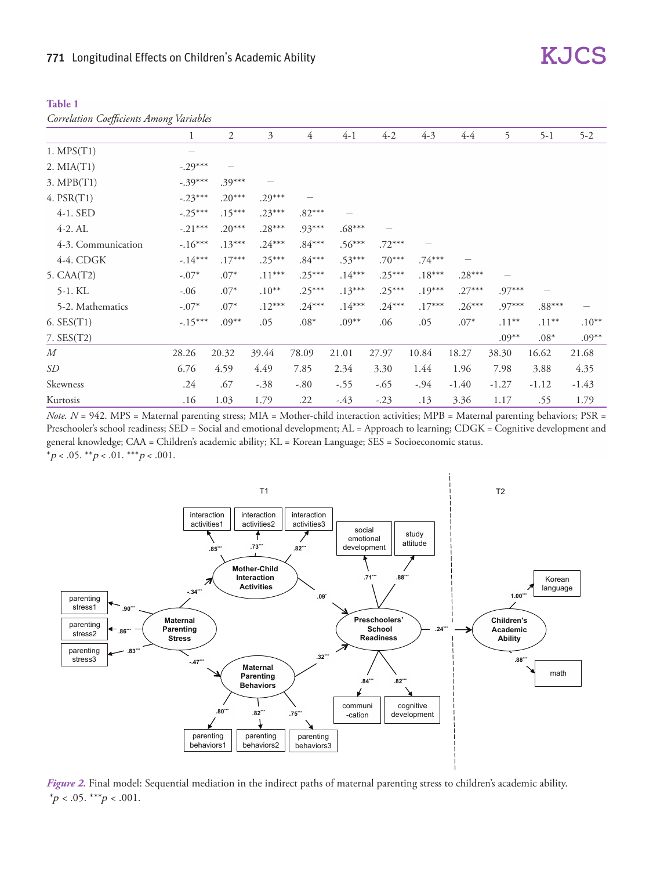| , ,,, ,,,, ,,,     |                 |          |          |          |          |          |          |          |          |          |         |
|--------------------|-----------------|----------|----------|----------|----------|----------|----------|----------|----------|----------|---------|
|                    | 1               | 2        | 3        | 4        | $4-1$    | $4 - 2$  | $4-3$    | $4 - 4$  | 5        | $5 - 1$  | $5 - 2$ |
| $1.$ MPS $(T1)$    | $\qquad \qquad$ |          |          |          |          |          |          |          |          |          |         |
| $2. MIA(T1)$       | $-.29***$       |          |          |          |          |          |          |          |          |          |         |
| 3. MPB(T1)         | $-.39***$       | $.39***$ |          |          |          |          |          |          |          |          |         |
| 4. PSR(T1)         | $-.23***$       | $.20***$ | $.29***$ |          |          |          |          |          |          |          |         |
| 4-1. SED           | $-.25***$       | $.15***$ | $.23***$ | $.82***$ |          |          |          |          |          |          |         |
| $4-2.$ AL          | $-.21***$       | $.20***$ | $.28***$ | $.93***$ | $.68***$ |          |          |          |          |          |         |
| 4-3. Communication | $-.16***$       | $.13***$ | $.24***$ | $.84***$ | $.56***$ | $.72***$ |          |          |          |          |         |
| 4-4. CDGK          | $-.14***$       | $.17***$ | $.25***$ | $.84***$ | $.53***$ | $.70***$ | $.74***$ |          |          |          |         |
| 5. CAA(T2)         | $-.07*$         | $.07*$   | $.11***$ | $.25***$ | $.14***$ | $.25***$ | $.18***$ | $.28***$ |          |          |         |
| 5-1. KL            | $-.06$          | $.07*$   | $.10**$  | $.25***$ | $.13***$ | $.25***$ | $.19***$ | $.27***$ | $.97***$ |          |         |
| 5-2. Mathematics   | $-.07*$         | $.07*$   | $.12***$ | $.24***$ | $.14***$ | $.24***$ | $.17***$ | $.26***$ | $.97***$ | $.88***$ |         |
| $6.$ SES $(T1)$    | $-.15***$       | $.09***$ | .05      | $.08*$   | $.09**$  | .06      | .05      | $.07*$   | $.11***$ | $.11***$ | $.10**$ |
| $7.$ SES $(T2)$    |                 |          |          |          |          |          |          |          | $.09**$  | $.08*$   | $.09**$ |
| M                  | 28.26           | 20.32    | 39.44    | 78.09    | 21.01    | 27.97    | 10.84    | 18.27    | 38.30    | 16.62    | 21.68   |
| SD                 | 6.76            | 4.59     | 4.49     | 7.85     | 2.34     | 3.30     | 1.44     | 1.96     | 7.98     | 3.88     | 4.35    |
| Skewness           | .24             | .67      | $-.38$   | $-.80$   | $-.55$   | $-.65$   | $-.94$   | $-1.40$  | $-1.27$  | $-1.12$  | $-1.43$ |
| Kurtosis           | .16             | 1.03     | 1.79     | .22      | $-.43$   | $-.23$   | .13      | 3.36     | 1.17     | .55      | 1.79    |

| Table 1 |                                                 |  |
|---------|-------------------------------------------------|--|
|         | <b>Correlation Coefficients Among Variables</b> |  |

*Note. N* = 942. MPS = Maternal parenting stress; MIA = Mother-child interaction activities; MPB = Maternal parenting behaviors; PSR = Preschooler's school readiness; SED = Social and emotional development; AL = Approach to learning; CDGK = Cognitive development and general knowledge; CAA = Children's academic ability; KL = Korean Language; SES = Socioeconomic status. \*p < .05. \*\*p < .01. \*\*\*p < .001.



*Figure 2.* Final model: Sequential mediation in the indirect paths of maternal parenting stress to children's academic ability.  $*_{p}$  < .05. \*\*\* $p$  < .001.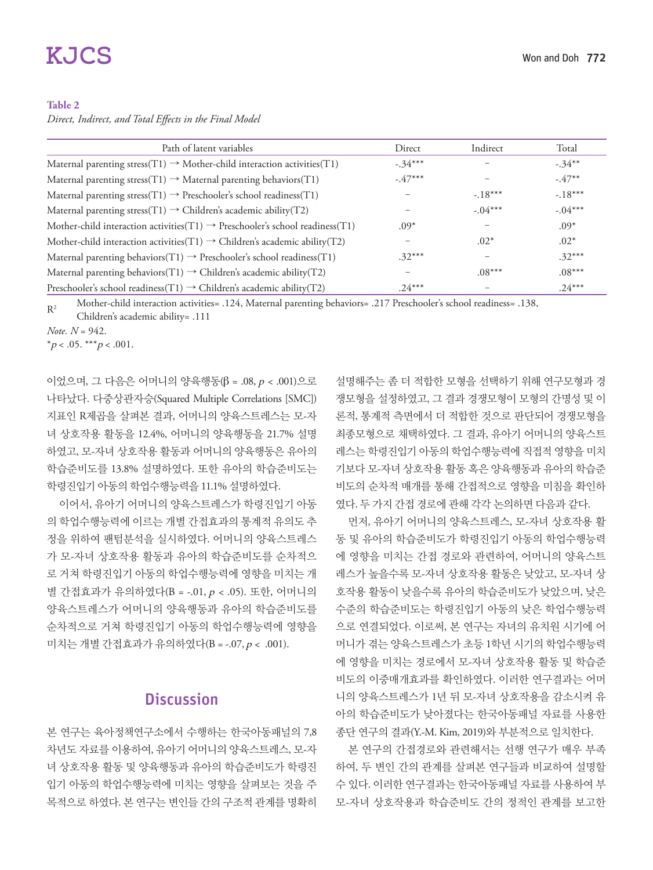# **KJCS**

#### **Table 2**

*Direct, Indirect, and Total Effects in the Final Model* 

| Path of latent variables                                                                     | Direct    | Indirect  | Total     |
|----------------------------------------------------------------------------------------------|-----------|-----------|-----------|
| Maternal parenting stress(T1) $\rightarrow$ Mother-child interaction activities(T1)          | $-.34***$ |           | $-.34***$ |
| Maternal parenting stress(T1) $\rightarrow$ Maternal parenting behaviors(T1)                 | $-.47***$ |           | $-47**$   |
| Maternal parenting stress(T1) $\rightarrow$ Preschooler's school readiness(T1)               |           | $-18***$  | $-.18***$ |
| Maternal parenting stress(T1) $\rightarrow$ Children's academic ability(T2)                  |           | $-.04***$ | $-.04***$ |
| Mother-child interaction activities $(T1) \rightarrow$ Preschooler's school readiness $(T1)$ | $.09*$    |           | $.09*$    |
| Mother-child interaction activities $(T1) \rightarrow$ Children's academic ability $(T2)$    |           | $.02*$    | $.02*$    |
| Maternal parenting behaviors(T1) $\rightarrow$ Preschooler's school readiness(T1)            | $.32***$  |           | $.32***$  |
| Maternal parenting behaviors(T1) $\rightarrow$ Children's academic ability(T2)               |           | $.08***$  | $.08***$  |
| Preschooler's school readiness(T1) $\rightarrow$ Children's academic ability(T2)             | $.24***$  |           | $.24***$  |

R2 Mother-child interaction activities= .124, Maternal parenting behaviors= .217 Preschooler's school readiness= .138, Children's academic ability= .111

*Note. N* = 942.

 $*_{p < .05}$ . \*\*\* $p < .001$ .

이었으며, 그 다음은 어머니의 양육행동(β = .08, p < .001)으로 나타났다. 다중상관자승(Squared Multiple Correlations [SMC]) 지표인 R제곱을 살펴본 결과, 어머니의 양육스트레스는 모-자 녀 상호작용 활동을 12.4%, 어머니의 양육행동을 21.7% 설명 하였고, 모-자녀 상호작용 활동과 어머니의 양육행동은 유아의 학습준비도를 13.8% 설명하였다. 또한 유아의 학습준비도는 학령진입기 아동의 학업수행능력을 11.1% 설명하였다.

이어서, 유아기 어머니의 양육스트레스가 학령진입기 아동 의 학업수행능력에 이르는 개별 간접효과의 통계적 유의도 추 정을 위하여 팬텀분석을 실시하였다. 어머니의 양육스트레스 가 모-자녀 상호작용 활동과 유아의 학습준비도를 순차적으 로 거쳐 학령진입기 아동의 학업수행능력에 영향을 미치는 개 별 간접효과가 유의하였다(B = -.01, p < .05). 또한, 어머니의 양육스트레스가 어머니의 양육행동과 유아의 학습준비도를 순차적으로 거쳐 학령진입기 아동의 학업수행능력에 영향을 미치는 개별 간접효과가 유의하였다(B = -.07, p < .001).

## **Discussion**

본 연구는 육아정책연구소에서 수행하는 한국아동패널의 7,8 차년도 자료를 이용하여, 유아기 어머니의 양육스트레스, 모-자 녀 상호작용 활동 및 양육행동과 유아의 학습준비도가 학령진 입기 아동의 학업수행능력에 미치는 영향을 살펴보는 것을 주 목적으로 하였다. 본 연구는 변인들 간의 구조적 관계를 명확히 설명해주는 좀 더 적합한 모형을 선택하기 위해 연구모형과 경 쟁모형을 설정하였고, 그 결과 경쟁모형이 모형의 간명성 및 이 론적, 통계적 측면에서 더 적합한 것으로 판단되어 경쟁모형을 최종모형으로 채택하였다. 그 결과, 유아기 어머니의 양육스트 레스는 학령진입기 아동의 학업수행능력에 직접적 영향을 미치 기보다 모-자녀 상호작용 활동 혹은 양육행동과 유아의 학습준 비도의 순차적 매개를 통해 간접적으로 영향을 미침을 확인하 였다. 두 가지 간접 경로에 관해 각각 논의하면 다음과 같다.

먼저, 유아기 어머니의 양육스트레스, 모-자녀 상호작용 활 동 및 유아의 학습준비도가 학령진입기 아동의 학업수행능력 에 영향을 미치는 간접 경로와 관련하여, 어머니의 양육스트 레스가 높을수록 모-자녀 상호작용 활동은 낮았고, 모-자녀 상 호작용 활동이 낮을수록 유아의 학습준비도가 낮았으며, 낮은 수준의 학습준비도는 학령진입기 아동의 낮은 학업수행능력 으로 연결되었다. 이로써, 본 연구는 자녀의 유치원 시기에 어 머니가 겪는 양육스트레스가 초등 1학년 시기의 학업수행능력 에 영향을 미치는 경로에서 모-자녀 상호작용 활동 및 학습준 비도의 이중매개효과를 확인하였다. 이러한 연구결과는 어머 니의 양육스트레스가 1년 뒤 모-자녀 상호작용을 감소시켜 유 아의 학습준비도가 낮아졌다는 한국아동패널 자료를 사용한 종단 연구의 결과(Y.-M. Kim, 2019)와 부분적으로 일치한다.

본 연구의 간접경로와 관련해서는 선행 연구가 매우 부족 하여, 두 변인 간의 관계를 살펴본 연구들과 비교하여 설명할 수 있다. 이러한 연구결과는 한국아동패널 자료를 사용하여 부 모-자녀 상호작용과 학습준비도 간의 정적인 관계를 보고한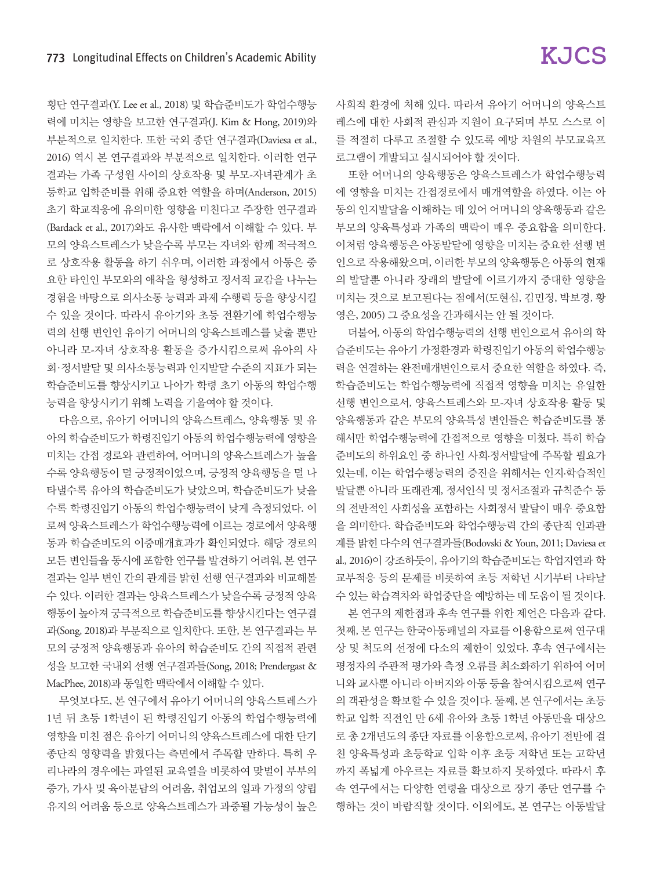횡단 연구결과(Y. Lee et al., 2018) 및 학습준비도가 학업수행능 력에 미치는 영향을 보고한 연구결과(J. Kim & Hong, 2019)와 부분적으로 일치한다. 또한 국외 종단 연구결과(Daviesa et al., 2016) 역시 본 연구결과와 부분적으로 일치한다. 이러한 연구 결과는 가족 구성원 사이의 상호작용 및 부모-자녀관계가 초 등학교 입학준비를 위해 중요한 역할을 하며(Anderson, 2015) 초기 학교적응에 유의미한 영향을 미친다고 주장한 연구결과 (Bardack et al., 2017)와도 유사한 맥락에서 이해할 수 있다. 부 모의 양육스트레스가 낮을수록 부모는 자녀와 함께 적극적으 로 상호작용 활동을 하기 쉬우며, 이러한 과정에서 아동은 중 요한 타인인 부모와의 애착을 형성하고 정서적 교감을 나누는 경험을 바탕으로 의사소통 능력과 과제 수행력 등을 향상시킬 수 있을 것이다. 따라서 유아기와 초등 전환기에 학업수행능 력의 선행 변인인 유아기 어머니의 양육스트레스를 낮출 뿐만 아니라 모-자녀 상호작용 활동을 증가시킴으로써 유아의 사 회 ·정서발달 및 의사소통능력과 인지발달 수준의 지표가 되는 학습준비도를 향상시키고 나아가 학령 초기 아동의 학업수행 능력을 향상시키기 위해 노력을 기울여야 할 것이다.

다음으로, 유아기 어머니의 양육스트레스, 양육행동 및 유 아의 학습준비도가 학령진입기 아동의 학업수행능력에 영향을 미치는 간접 경로와 관련하여, 어머니의 양육스트레스가 높을 수록 양육행동이 덜 긍정적이었으며, 긍정적 양육행동을 덜 나 타낼수록 유아의 학습준비도가 낮았으며, 학습준비도가 낮을 수록 학령진입기 아동의 학업수행능력이 낮게 측정되었다. 이 로써 양육스트레스가 학업수행능력에 이르는 경로에서 양육행 동과 학습준비도의 이중매개효과가 확인되었다. 해당 경로의 모든 변인들을 동시에 포함한 연구를 발견하기 어려워, 본 연구 결과는 일부 변인 간의 관계를 밝힌 선행 연구결과와 비교해볼 수 있다. 이러한 결과는 양육스트레스가 낮을수록 긍정적 양육 행동이 높아져 궁극적으로 학습준비도를 향상시킨다는 연구결 과(Song, 2018)과 부분적으로 일치한다. 또한, 본 연구결과는 부 모의 긍정적 양육행동과 유아의 학습준비도 간의 직접적 관련 성을 보고한 국내외 선행 연구결과들(Song, 2018; Prendergast & MacPhee, 2018)과 동일한 맥락에서 이해할 수 있다.

무엇보다도, 본 연구에서 유아기 어머니의 양육스트레스가 1년 뒤 초등 1학년이 된 학령진입기 아동의 학업수행능력에 영향을 미친 점은 유아기 어머니의 양육스트레스에 대한 단기 종단적 영향력을 밝혔다는 측면에서 주목할 만하다. 특히 우 리나라의 경우에는 과열된 교육열을 비롯하여 맞벌이 부부의 증가, 가사 및 육아분담의 어려움, 취업모의 일과 가정의 양립 유지의 어려움 등으로 양육스트레스가 과중될 가능성이 높은 사회적 환경에 처해 있다. 따라서 유아기 어머니의 양육스트 레스에 대한 사회적 관심과 지원이 요구되며 부모 스스로 이 를 적절히 다루고 조절할 수 있도록 예방 차원의 부모교육프 로그램이 개발되고 실시되어야 할 것이다.

또한 어머니의 양육행동은 양육스트레스가 학업수행능력 에 영향을 미치는 간접경로에서 매개역할을 하였다. 이는 아 동의 인지발달을 이해하는 데 있어 어머니의 양육행동과 같은 부모의 양육특성과 가족의 맥락이 매우 중요함을 의미한다. 이처럼 양육행동은 아동발달에 영향을 미치는 중요한 선행 변 인으로 작용해왔으며, 이러한 부모의 양육행동은 아동의 현재 의 발달뿐 아니라 장래의 발달에 이르기까지 중대한 영향을 미치는 것으로 보고된다는 점에서(도현심, 김민정, 박보경, 황 영은, 2005) 그 중요성을 간과해서는 안 될 것이다.

더불어, 아동의 학업수행능력의 선행 변인으로서 유아의 학 습준비도는 유아기 가정환경과 학령진입기 아동의 학업수행능 력을 연결하는 완전매개변인으로서 중요한 역할을 하였다. 즉, 학습준비도는 학업수행능력에 직접적 영향을 미치는 유일한 선행 변인으로서, 양육스트레스와 모-자녀 상호작용 활동 및 양육행동과 같은 부모의 양육특성 변인들은 학습준비도를 통 해서만 학업수행능력에 간접적으로 영향을 미쳤다. 특히 학습 준비도의 하위요인 중 하나인 사회·정서발달에 주목할 필요가 있는데, 이는 학업수행능력의 증진을 위해서는 인지·학습적인 발달뿐 아니라 또래관계, 정서인식 및 정서조절과 규칙준수 등 의 전반적인 사회성을 포함하는 사회정서 발달이 매우 중요함 을 의미한다. 학습준비도와 학업수행능력 간의 종단적 인과관 계를 밝힌 다수의 연구결과들(Bodovski & Youn, 2011; Daviesa et al., 2016)이 강조하듯이, 유아기의 학습준비도는 학업지연과 학 교부적응 등의 문제를 비롯하여 초등 저학년 시기부터 나타날 수 있는 학습격차와 학업중단을 예방하는 데 도움이 될 것이다.

본 연구의 제한점과 후속 연구를 위한 제언은 다음과 같다. 첫째, 본 연구는 한국아동패널의 자료를 이용함으로써 연구대 상 및 척도의 선정에 다소의 제한이 있었다. 후속 연구에서는 평정자의 주관적 평가와 측정 오류를 최소화하기 위하여 어머 니와 교사뿐 아니라 아버지와 아동 등을 참여시킴으로써 연구 의 객관성을 확보할 수 있을 것이다. 둘째, 본 연구에서는 초등 학교 입학 직전인 만 6세 유아와 초등 1학년 아동만을 대상으 로 총 2개년도의 종단 자료를 이용함으로써, 유아기 전반에 걸 친 양육특성과 초등학교 입학 이후 초등 저학년 또는 고학년 까지 폭넓게 아우르는 자료를 확보하지 못하였다. 따라서 후 속 연구에서는 다양한 연령을 대상으로 장기 종단 연구를 수 행하는 것이 바람직할 것이다. 이외에도, 본 연구는 아동발달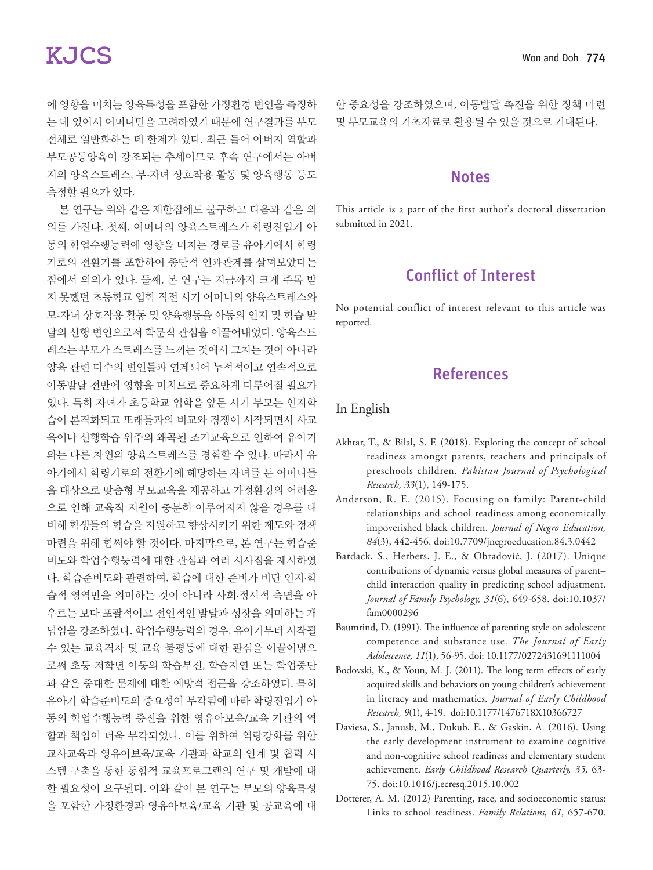에 영향을 미치는 양육특성을 포함한 가정환경 변인을 측정하 는 데 있어서 어머니만을 고려하였기 때문에 연구결과를 부모 전체로 일반화하는 데 한계가 있다. 최근 들어 아버지 역할과 부모공동양육이 강조되는 추세이므로 후속 연구에서는 아버 지의 양육스트레스, 부-자녀 상호작용 활동 및 양육행동 등도 측정할 필요가 있다.

본 연구는 위와 같은 제한점에도 불구하고 다음과 같은 의 의를 가진다. 첫째, 어머니의 양육스트레스가 학령진입기 아 동의 학업수행능력에 영향을 미치는 경로를 유아기에서 학령 기로의 전환기를 포함하여 종단적 인과관계를 살펴보았다는 점에서 의의가 있다. 둘째, 본 연구는 지금까지 크게 주목 받 지 못했던 초등학교 입학 직전 시기 어머니의 양육스트레스와 모-자녀 상호작용 활동 및 양육행동을 아동의 인지 및 학습 발 달의 선행 변인으로서 학문적 관심을 이끌어내었다. 양육스트 레스는 부모가 스트레스를 느끼는 것에서 그치는 것이 아니라 양육 관련 다수의 변인들과 연계되어 누적적이고 연속적으로 아동발달 전반에 영향을 미치므로 중요하게 다루어질 필요가 있다. 특히 자녀가 초등학교 입학을 앞둔 시기 부모는 인지학 습이 본격화되고 또래들과의 비교와 경쟁이 시작되면서 사교 육이나 선행학습 위주의 왜곡된 조기교육으로 인하여 유아기 와는 다른 차원의 양육스트레스를 경험할 수 있다. 따라서 유 아기에서 학령기로의 전환기에 해당하는 자녀를 둔 어머니들 을 대상으로 맞춤형 부모교육을 제공하고 가정환경의 어려움 으로 인해 교육적 지원이 충분히 이루어지지 않을 경우를 대 비해 학생들의 학습을 지원하고 향상시키기 위한 제도와 정책 마련을 위해 힘써야 할 것이다. 마지막으로, 본 연구는 학습준 비도와 학업수행능력에 대한 관심과 여러 시사점을 제시하였 다. 학습준비도와 관련하여, 학습에 대한 준비가 비단 인지·학 습적 영역만을 의미하는 것이 아니라 사회·정서적 측면을 아 우르는 보다 포괄적이고 전인적인 발달과 성장을 의미하는 개 념임을 강조하였다. 학업수행능력의 경우, 유아기부터 시작될 수 있는 교육격차 및 교육 불평등에 대한 관심을 이끌어냄으 로써 초등 저학년 아동의 학습부진, 학습지연 또는 학업중단 과 같은 중대한 문제에 대한 예방적 접근을 강조하였다. 특히 유아기 학습준비도의 중요성이 부각됨에 따라 학령진입기 아 동의 학업수행능력 증진을 위한 영유아보육/교육 기관의 역 할과 책임이 더욱 부각되었다. 이를 위하여 역량강화를 위한 교사교육과 영유아보육/교육 기관과 학교의 연계 및 협력 시 스템 구축을 통한 통합적 교육프로그램의 연구 및 개발에 대 한 필요성이 요구된다. 이와 같이 본 연구는 부모의 양육특성 을 포함한 가정환경과 영유아보육/교육 기관 및 공교육에 대

한 중요성을 강조하였으며, 아동발달 촉진을 위한 정책 마련 및 부모교육의 기초자료로 활용될 수 있을 것으로 기대된다.

#### **Notes**

This article is a part of the first author's doctoral dissertation submitted in 2021.

## Conflict of Interest

No potential conflict of interest relevant to this article was reported.

## References

#### In English

- Akhtar, T., & Bilal, S. F. (2018). Exploring the concept of school readiness amongst parents, teachers and principals of preschools children. *Pakistan Journal of Psychological Research, 33*(1), 149-175.
- Anderson, R. E. (2015). Focusing on family: Parent-child relationships and school readiness among economically impoverished black children. *Journal of Negro Education, 84*(3), 442-456. doi:10.7709/jnegroeducation.84.3.0442
- Bardack, S., Herbers, J. E., & Obradović, J. (2017). Unique contributions of dynamic versus global measures of parent– child interaction quality in predicting school adjustment. *Journal of Family Psychology, 31*(6), 649-658. doi:10.1037/ fam0000296
- Baumrind, D. (1991). The influence of parenting style on adolescent competence and substance use. *The Journal of Early Adolescence, 11*(1), 56-95. doi: 10.1177/0272431691111004
- Bodovski, K., & Youn, M. J. (2011). The long term effects of early acquired skills and behaviors on young children's achievement in literacy and mathematics. *Journal of Early Childhood Research, 9*(1), 4-19. doi:10.1177/1476718X10366727
- Daviesa, S., Janusb, M., Dukub, E., & Gaskin, A. (2016). Using the early development instrument to examine cognitive and non-cognitive school readiness and elementary student achievement. *Early Childhood Research Quarterly, 35,* 63- 75. doi:10.1016/j.ecresq.2015.10.002
- Dotterer, A. M. (2012) Parenting, race, and socioeconomic status: Links to school readiness. *Family Relations, 61,* 657-670.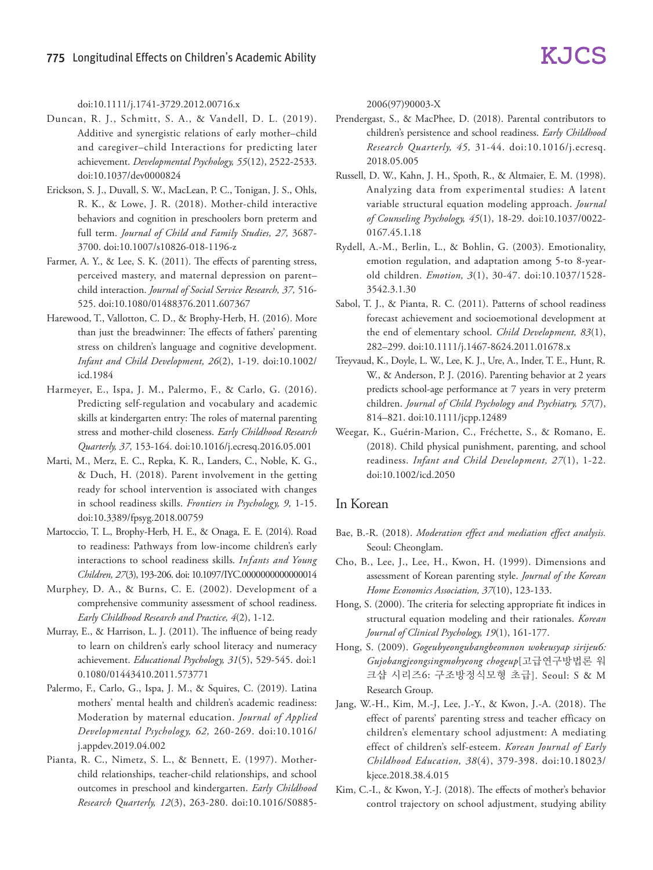#### doi:10.1111/j.1741-3729.2012.00716.x

- Duncan, R. J., Schmitt, S. A., & Vandell, D. L. (2019). Additive and synergistic relations of early mother–child and caregiver–child Interactions for predicting later achievement. *Developmental Psychology, 55*(12), 2522-2533. doi:10.1037/dev0000824
- Erickson, S. J., Duvall, S. W., MacLean, P. C., Tonigan, J. S., Ohls, R. K., & Lowe, J. R. (2018). Mother-child interactive behaviors and cognition in preschoolers born preterm and full term. *Journal of Child and Family Studies, 27,* 3687- 3700. doi:10.1007/s10826-018-1196-z
- Farmer, A. Y., & Lee, S. K. (2011). The effects of parenting stress, perceived mastery, and maternal depression on parent– child interaction. *Journal of Social Service Research, 37,* 516- 525. doi:10.1080/01488376.2011.607367
- Harewood, T., Vallotton, C. D., & Brophy-Herb, H. (2016). More than just the breadwinner: The effects of fathers' parenting stress on children's language and cognitive development. *Infant and Child Development, 26*(2), 1-19. doi:10.1002/ icd.1984
- Harmeyer, E., Ispa, J. M., Palermo, F., & Carlo, G. (2016). Predicting self-regulation and vocabulary and academic skills at kindergarten entry: The roles of maternal parenting stress and mother-child closeness. *Early Childhood Research Quarterly, 37,* 153-164. doi:10.1016/j.ecresq.2016.05.001
- Marti, M., Merz, E. C., Repka, K. R., Landers, C., Noble, K. G., & Duch, H. (2018). Parent involvement in the getting ready for school intervention is associated with changes in school readiness skills. *Frontiers in Psychology, 9,* 1-15. doi:10.3389/fpsyg.2018.00759
- Martoccio, T. L., Brophy-Herb, H. E., & Onaga, E. E. (2014). Road to readiness: Pathways from low-income children's early interactions to school readiness skills. *Infants and Young Children, 27*(3), 193-206. doi: 10.1097/IYC.0000000000000014
- Murphey, D. A., & Burns, C. E. (2002). Development of a comprehensive community assessment of school readiness. *Early Childhood Research and Practice, 4*(2), 1-12.
- Murray, E., & Harrison, L. J. (2011). The influence of being ready to learn on children's early school literacy and numeracy achievement. *Educational Psychology, 31*(5), 529-545. doi:1 0.1080/01443410.2011.573771
- Palermo, F., Carlo, G., Ispa, J. M., & Squires, C. (2019). Latina mothers' mental health and children's academic readiness: Moderation by maternal education. *Journal of Applied Developmental Psychology, 62,* 260-269. doi:10.1016/ j.appdev.2019.04.002
- Pianta, R. C., Nimetz, S. L., & Bennett, E. (1997). Motherchild relationships, teacher-child relationships, and school outcomes in preschool and kindergarten. *Early Childhood Research Quarterly, 12*(3), 263-280. doi:10.1016/S0885-

2006(97)90003-X

- Prendergast, S., & MacPhee, D. (2018). Parental contributors to children's persistence and school readiness. *Early Childhood Research Quarterly, 45,* 31-44. doi:10.1016/j.ecresq. 2018.05.005
- Russell, D. W., Kahn, J. H., Spoth, R., & Altmaier, E. M. (1998). Analyzing data from experimental studies: A latent variable structural equation modeling approach. *Journal of Counseling Psychology, 45*(1), 18-29. doi:10.1037/0022- 0167.45.1.18
- Rydell, A.-M., Berlin, L., & Bohlin, G. (2003). Emotionality, emotion regulation, and adaptation among 5-to 8-yearold children. *Emotion, 3*(1), 30-47. doi:10.1037/1528- 3542.3.1.30
- Sabol, T. J., & Pianta, R. C. (2011). Patterns of school readiness forecast achievement and socioemotional development at the end of elementary school. *Child Development, 83*(1), 282–299. doi:10.1111/j.1467-8624.2011.01678.x
- Treyvaud, K., Doyle, L. W., Lee, K. J., Ure, A., Inder, T. E., Hunt, R. W., & Anderson, P. J. (2016). Parenting behavior at 2 years predicts school-age performance at 7 years in very preterm children. *Journal of Child Psychology and Psychiatry, 57*(7), 814–821. doi:10.1111/jcpp.12489
- Weegar, K., Guérin-Marion, C., Fréchette, S., & Romano, E. (2018). Child physical punishment, parenting, and school readiness. *Infant and Child Development, 27*(1), 1-22. doi:10.1002/icd.2050

#### In Korean

- Bae, B.-R. (2018). *Moderation effect and mediation effect analysis.*  Seoul: Cheonglam.
- Cho, B., Lee, J., Lee, H., Kwon, H. (1999). Dimensions and assessment of Korean parenting style. *Journal of the Korean Home Economics Association, 37*(10), 123-133.
- Hong, S. (2000). The criteria for selecting appropriate fit indices in structural equation modeling and their rationales. *Korean Journal of Clinical Psychology, 19*(1), 161-177.
- Hong, S. (2009). *Gogeubyeongubangbeomnon wokeusyap sirijeu6: Gujobangjeongsingmohyeong chogeup*[고급연구방법론 워 크샵 시리즈6: 구조방정식모형 초급]. Seoul: S & M Research Group.
- Jang, W.-H., Kim, M.-J, Lee, J.-Y., & Kwon, J.-A. (2018). The effect of parents' parenting stress and teacher efficacy on children's elementary school adjustment: A mediating effect of children's self-esteem. *Korean Journal of Early Childhood Education, 38*(4), 379-398. doi:10.18023/ kjece.2018.38.4.015
- Kim, C.-I., & Kwon, Y.-J. (2018). The effects of mother's behavior control trajectory on school adjustment, studying ability